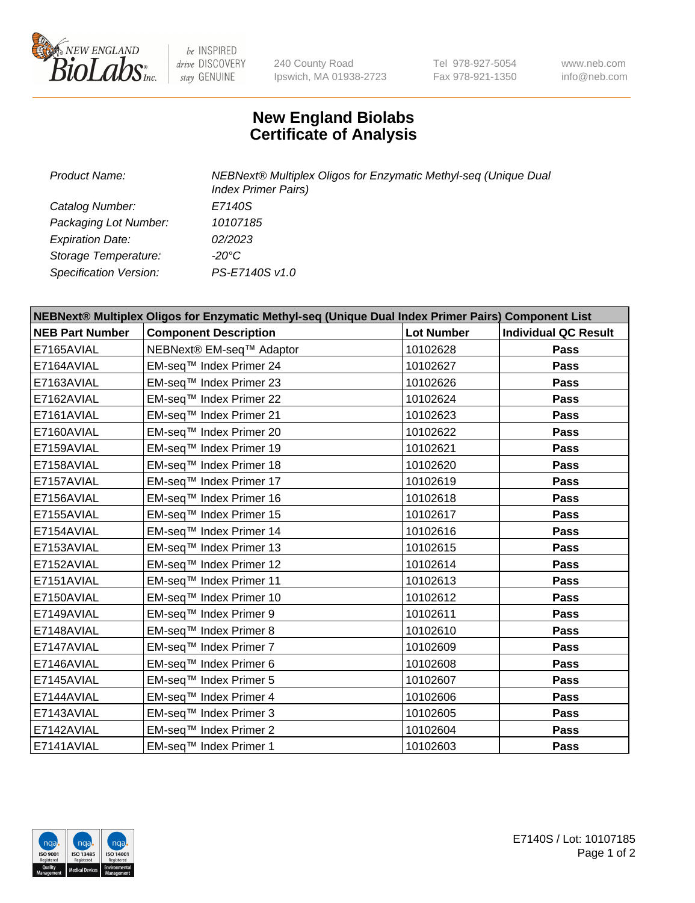

 $be$  INSPIRED drive DISCOVERY stay GENUINE

240 County Road Ipswich, MA 01938-2723 Tel 978-927-5054 Fax 978-921-1350 www.neb.com info@neb.com

## **New England Biolabs Certificate of Analysis**

| <b>Product Name:</b>    | NEBNext® Multiplex Oligos for Enzymatic Methyl-seq (Unique Dual<br><b>Index Primer Pairs)</b> |
|-------------------------|-----------------------------------------------------------------------------------------------|
| Catalog Number:         | E7140S                                                                                        |
| Packaging Lot Number:   | 10107185                                                                                      |
| <b>Expiration Date:</b> | 02/2023                                                                                       |
| Storage Temperature:    | -20°C                                                                                         |
| Specification Version:  | PS-E7140S v1.0                                                                                |

| NEBNext® Multiplex Oligos for Enzymatic Methyl-seq (Unique Dual Index Primer Pairs) Component List |                              |                   |                             |  |
|----------------------------------------------------------------------------------------------------|------------------------------|-------------------|-----------------------------|--|
| <b>NEB Part Number</b>                                                                             | <b>Component Description</b> | <b>Lot Number</b> | <b>Individual QC Result</b> |  |
| E7165AVIAL                                                                                         | NEBNext® EM-seq™ Adaptor     | 10102628          | Pass                        |  |
| E7164AVIAL                                                                                         | EM-seq™ Index Primer 24      | 10102627          | <b>Pass</b>                 |  |
| E7163AVIAL                                                                                         | EM-seq™ Index Primer 23      | 10102626          | Pass                        |  |
| E7162AVIAL                                                                                         | EM-seq™ Index Primer 22      | 10102624          | <b>Pass</b>                 |  |
| E7161AVIAL                                                                                         | EM-seq™ Index Primer 21      | 10102623          | Pass                        |  |
| E7160AVIAL                                                                                         | EM-seq™ Index Primer 20      | 10102622          | <b>Pass</b>                 |  |
| E7159AVIAL                                                                                         | EM-seq™ Index Primer 19      | 10102621          | <b>Pass</b>                 |  |
| E7158AVIAL                                                                                         | EM-seq™ Index Primer 18      | 10102620          | Pass                        |  |
| E7157AVIAL                                                                                         | EM-seq™ Index Primer 17      | 10102619          | Pass                        |  |
| E7156AVIAL                                                                                         | EM-seq™ Index Primer 16      | 10102618          | <b>Pass</b>                 |  |
| E7155AVIAL                                                                                         | EM-seq™ Index Primer 15      | 10102617          | <b>Pass</b>                 |  |
| E7154AVIAL                                                                                         | EM-seq™ Index Primer 14      | 10102616          | Pass                        |  |
| E7153AVIAL                                                                                         | EM-seq™ Index Primer 13      | 10102615          | <b>Pass</b>                 |  |
| E7152AVIAL                                                                                         | EM-seq™ Index Primer 12      | 10102614          | Pass                        |  |
| E7151AVIAL                                                                                         | EM-seq™ Index Primer 11      | 10102613          | <b>Pass</b>                 |  |
| E7150AVIAL                                                                                         | EM-seq™ Index Primer 10      | 10102612          | <b>Pass</b>                 |  |
| E7149AVIAL                                                                                         | EM-seq™ Index Primer 9       | 10102611          | Pass                        |  |
| E7148AVIAL                                                                                         | EM-seq™ Index Primer 8       | 10102610          | <b>Pass</b>                 |  |
| E7147AVIAL                                                                                         | EM-seq™ Index Primer 7       | 10102609          | <b>Pass</b>                 |  |
| E7146AVIAL                                                                                         | EM-seq™ Index Primer 6       | 10102608          | <b>Pass</b>                 |  |
| E7145AVIAL                                                                                         | EM-seq™ Index Primer 5       | 10102607          | <b>Pass</b>                 |  |
| E7144AVIAL                                                                                         | EM-seq™ Index Primer 4       | 10102606          | Pass                        |  |
| E7143AVIAL                                                                                         | EM-seq™ Index Primer 3       | 10102605          | Pass                        |  |
| E7142AVIAL                                                                                         | EM-seq™ Index Primer 2       | 10102604          | <b>Pass</b>                 |  |
| E7141AVIAL                                                                                         | EM-seq™ Index Primer 1       | 10102603          | Pass                        |  |